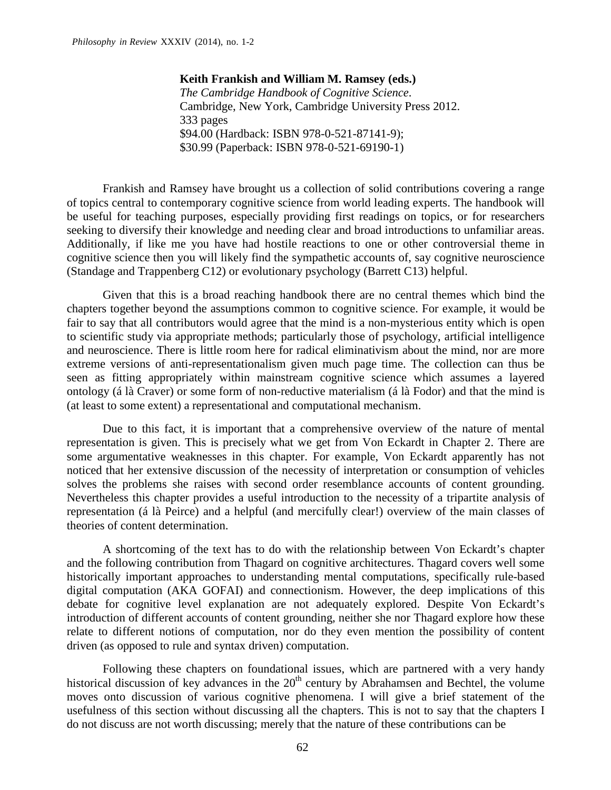**Keith Frankish and William M. Ramsey (eds.)** *The Cambridge Handbook of Cognitive Science*. Cambridge, New York, Cambridge University Press 2012. 333 pages \$94.00 (Hardback: ISBN 978-0-521-87141-9); \$30.99 (Paperback: ISBN 978-0-521-69190-1)

Frankish and Ramsey have brought us a collection of solid contributions covering a range of topics central to contemporary cognitive science from world leading experts. The handbook will be useful for teaching purposes, especially providing first readings on topics, or for researchers seeking to diversify their knowledge and needing clear and broad introductions to unfamiliar areas. Additionally, if like me you have had hostile reactions to one or other controversial theme in cognitive science then you will likely find the sympathetic accounts of, say cognitive neuroscience (Standage and Trappenberg C12) or evolutionary psychology (Barrett C13) helpful.

Given that this is a broad reaching handbook there are no central themes which bind the chapters together beyond the assumptions common to cognitive science. For example, it would be fair to say that all contributors would agree that the mind is a non-mysterious entity which is open to scientific study via appropriate methods; particularly those of psychology, artificial intelligence and neuroscience. There is little room here for radical eliminativism about the mind, nor are more extreme versions of anti-representationalism given much page time. The collection can thus be seen as fitting appropriately within mainstream cognitive science which assumes a layered ontology (á là Craver) or some form of non-reductive materialism (á là Fodor) and that the mind is (at least to some extent) a representational and computational mechanism.

Due to this fact, it is important that a comprehensive overview of the nature of mental representation is given. This is precisely what we get from Von Eckardt in Chapter 2. There are some argumentative weaknesses in this chapter. For example, Von Eckardt apparently has not noticed that her extensive discussion of the necessity of interpretation or consumption of vehicles solves the problems she raises with second order resemblance accounts of content grounding. Nevertheless this chapter provides a useful introduction to the necessity of a tripartite analysis of representation (á là Peirce) and a helpful (and mercifully clear!) overview of the main classes of theories of content determination.

A shortcoming of the text has to do with the relationship between Von Eckardt's chapter and the following contribution from Thagard on cognitive architectures. Thagard covers well some historically important approaches to understanding mental computations, specifically rule-based digital computation (AKA GOFAI) and connectionism. However, the deep implications of this debate for cognitive level explanation are not adequately explored. Despite Von Eckardt's introduction of different accounts of content grounding, neither she nor Thagard explore how these relate to different notions of computation, nor do they even mention the possibility of content driven (as opposed to rule and syntax driven) computation.

Following these chapters on foundational issues, which are partnered with a very handy historical discussion of key advances in the  $20<sup>th</sup>$  century by Abrahamsen and Bechtel, the volume moves onto discussion of various cognitive phenomena. I will give a brief statement of the usefulness of this section without discussing all the chapters. This is not to say that the chapters I do not discuss are not worth discussing; merely that the nature of these contributions can be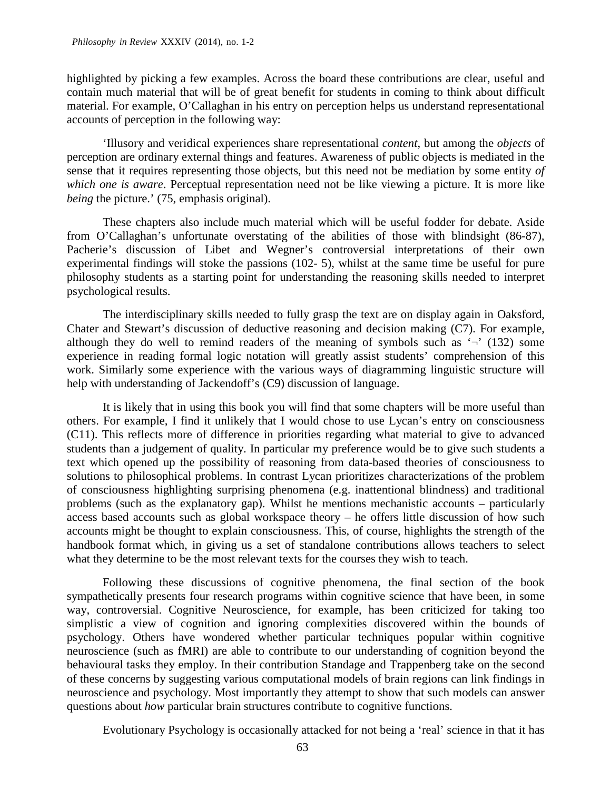highlighted by picking a few examples. Across the board these contributions are clear, useful and contain much material that will be of great benefit for students in coming to think about difficult material. For example, O'Callaghan in his entry on perception helps us understand representational accounts of perception in the following way:

'Illusory and veridical experiences share representational *content*, but among the *objects* of perception are ordinary external things and features. Awareness of public objects is mediated in the sense that it requires representing those objects, but this need not be mediation by some entity *of which one is aware*. Perceptual representation need not be like viewing a picture. It is more like *being* the picture.' (75, emphasis original).

These chapters also include much material which will be useful fodder for debate. Aside from O'Callaghan's unfortunate overstating of the abilities of those with blindsight (86-87), Pacherie's discussion of Libet and Wegner's controversial interpretations of their own experimental findings will stoke the passions (102- 5), whilst at the same time be useful for pure philosophy students as a starting point for understanding the reasoning skills needed to interpret psychological results.

The interdisciplinary skills needed to fully grasp the text are on display again in Oaksford, Chater and Stewart's discussion of deductive reasoning and decision making (C7). For example, although they do well to remind readers of the meaning of symbols such as  $\sim$  (132) some experience in reading formal logic notation will greatly assist students' comprehension of this work. Similarly some experience with the various ways of diagramming linguistic structure will help with understanding of Jackendoff's (C9) discussion of language.

It is likely that in using this book you will find that some chapters will be more useful than others. For example, I find it unlikely that I would chose to use Lycan's entry on consciousness (C11). This reflects more of difference in priorities regarding what material to give to advanced students than a judgement of quality. In particular my preference would be to give such students a text which opened up the possibility of reasoning from data-based theories of consciousness to solutions to philosophical problems. In contrast Lycan prioritizes characterizations of the problem of consciousness highlighting surprising phenomena (e.g. inattentional blindness) and traditional problems (such as the explanatory gap). Whilst he mentions mechanistic accounts – particularly access based accounts such as global workspace theory – he offers little discussion of how such accounts might be thought to explain consciousness. This, of course, highlights the strength of the handbook format which, in giving us a set of standalone contributions allows teachers to select what they determine to be the most relevant texts for the courses they wish to teach.

Following these discussions of cognitive phenomena, the final section of the book sympathetically presents four research programs within cognitive science that have been, in some way, controversial. Cognitive Neuroscience, for example, has been criticized for taking too simplistic a view of cognition and ignoring complexities discovered within the bounds of psychology. Others have wondered whether particular techniques popular within cognitive neuroscience (such as fMRI) are able to contribute to our understanding of cognition beyond the behavioural tasks they employ. In their contribution Standage and Trappenberg take on the second of these concerns by suggesting various computational models of brain regions can link findings in neuroscience and psychology. Most importantly they attempt to show that such models can answer questions about *how* particular brain structures contribute to cognitive functions.

Evolutionary Psychology is occasionally attacked for not being a 'real' science in that it has